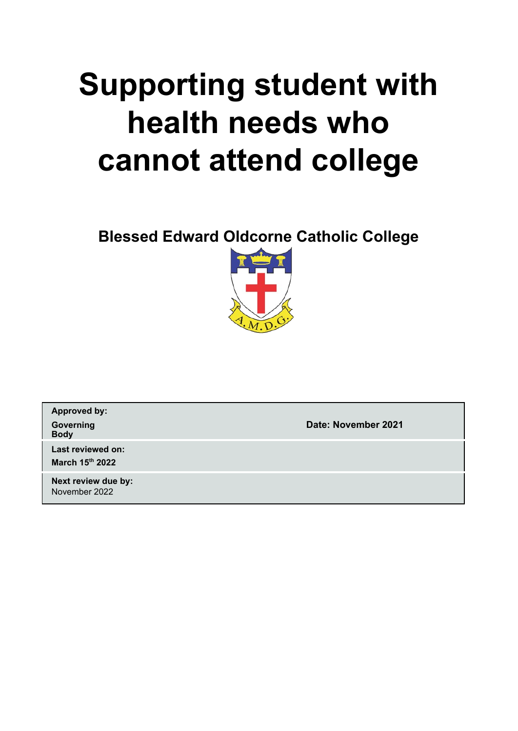# **Supporting student with health needs who cannot attend college**

**Blessed Edward Oldcorne Catholic College**



**Approved by: Body**

**Governing Date: November 2021**

**Last reviewed on: March 15 th 2022**

**Next review due by:** November 2022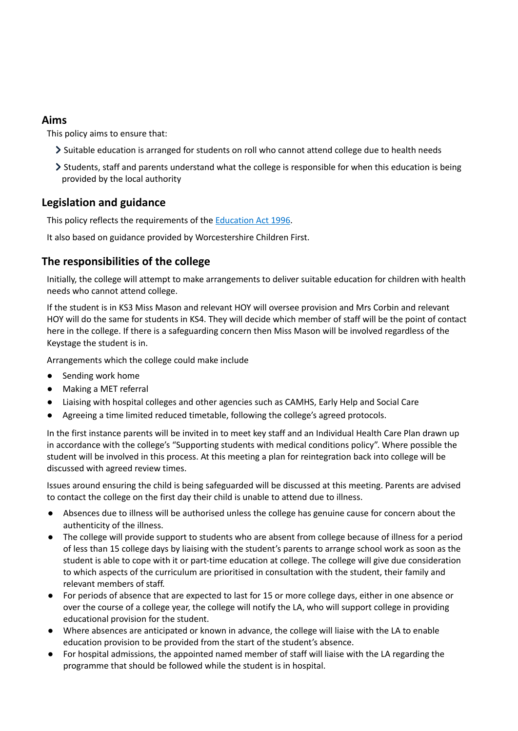# **Aims**

This policy aims to ensure that:

- Suitable education is arranged for students on roll who cannot attend college due to health needs
- Students, staff and parents understand what the college is responsible for when this education is being provided by the local authority

# **Legislation and guidance**

This policy reflects the requirements of the [Education](http://www.legislation.gov.uk/ukpga/1996/56/section/19) Act 1996.

It also based on guidance provided by Worcestershire Children First.

# **The responsibilities of the college**

Initially, the college will attempt to make arrangements to deliver suitable education for children with health needs who cannot attend college.

If the student is in KS3 Miss Mason and relevant HOY will oversee provision and Mrs Corbin and relevant HOY will do the same for students in KS4. They will decide which member of staff will be the point of contact here in the college. If there is a safeguarding concern then Miss Mason will be involved regardless of the Keystage the student is in.

Arrangements which the college could make include

- Sending work home
- Making a MET referral
- Liaising with hospital colleges and other agencies such as CAMHS, Early Help and Social Care
- Agreeing a time limited reduced timetable, following the college's agreed protocols.

In the first instance parents will be invited in to meet key staff and an Individual Health Care Plan drawn up in accordance with the college's "Supporting students with medical conditions policy". Where possible the student will be involved in this process. At this meeting a plan for reintegration back into college will be discussed with agreed review times.

Issues around ensuring the child is being safeguarded will be discussed at this meeting. Parents are advised to contact the college on the first day their child is unable to attend due to illness.

- Absences due to illness will be authorised unless the college has genuine cause for concern about the authenticity of the illness.
- The college will provide support to students who are absent from college because of illness for a period of less than 15 college days by liaising with the student's parents to arrange school work as soon as the student is able to cope with it or part-time education at college. The college will give due consideration to which aspects of the curriculum are prioritised in consultation with the student, their family and relevant members of staff.
- For periods of absence that are expected to last for 15 or more college days, either in one absence or over the course of a college year, the college will notify the LA, who will support college in providing educational provision for the student.
- Where absences are anticipated or known in advance, the college will liaise with the LA to enable education provision to be provided from the start of the student's absence.
- For hospital admissions, the appointed named member of staff will liaise with the LA regarding the programme that should be followed while the student is in hospital.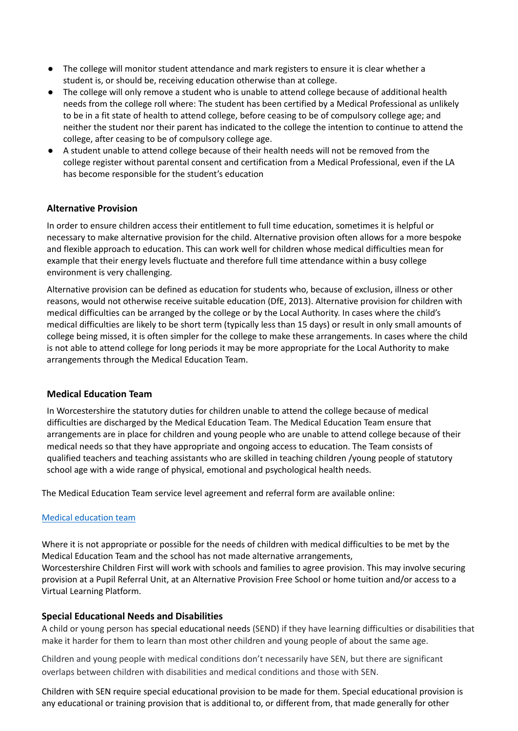- The college will monitor student attendance and mark registers to ensure it is clear whether a student is, or should be, receiving education otherwise than at college.
- The college will only remove a student who is unable to attend college because of additional health needs from the college roll where: The student has been certified by a Medical Professional as unlikely to be in a fit state of health to attend college, before ceasing to be of compulsory college age; and neither the student nor their parent has indicated to the college the intention to continue to attend the college, after ceasing to be of compulsory college age.
- A student unable to attend college because of their health needs will not be removed from the college register without parental consent and certification from a Medical Professional, even if the LA has become responsible for the student's education

# **Alternative Provision**

In order to ensure children access their entitlement to full time education, sometimes it is helpful or necessary to make alternative provision for the child. Alternative provision often allows for a more bespoke and flexible approach to education. This can work well for children whose medical difficulties mean for example that their energy levels fluctuate and therefore full time attendance within a busy college environment is very challenging.

Alternative provision can be defined as education for students who, because of exclusion, illness or other reasons, would not otherwise receive suitable education (DfE, 2013). Alternative provision for children with medical difficulties can be arranged by the college or by the Local Authority. In cases where the child's medical difficulties are likely to be short term (typically less than 15 days) or result in only small amounts of college being missed, it is often simpler for the college to make these arrangements. In cases where the child is not able to attend college for long periods it may be more appropriate for the Local Authority to make arrangements through the Medical Education Team.

#### **Medical Education Team**

In Worcestershire the statutory duties for children unable to attend the college because of medical difficulties are discharged by the Medical Education Team. The Medical Education Team ensure that arrangements are in place for children and young people who are unable to attend college because of their medical needs so that they have appropriate and ongoing access to education. The Team consists of qualified teachers and teaching assistants who are skilled in teaching children /young people of statutory school age with a wide range of physical, emotional and psychological health needs.

The Medical Education Team service level agreement and referral form are available online:

#### Medical [education](https://www.worcestershire.gov.uk/WCFEducationServices/info/1/support-services/22/medical-education) team

Where it is not appropriate or possible for the needs of children with medical difficulties to be met by the Medical Education Team and the school has not made alternative arrangements, Worcestershire Children First will work with schools and families to agree provision. This may involve securing provision at a Pupil Referral Unit, at an Alternative Provision Free School or home tuition and/or access to a Virtual Learning Platform.

#### **Special Educational Needs and Disabilities**

A child or young person has special educational needs (SEND) if they have learning difficulties or disabilities that make it harder for them to learn than most other children and young people of about the same age.

Children and young people with medical conditions don't necessarily have SEN, but there are significant overlaps between children with disabilities and medical conditions and those with SEN.

Children with SEN require special educational provision to be made for them. Special educational provision is any educational or training provision that is additional to, or different from, that made generally for other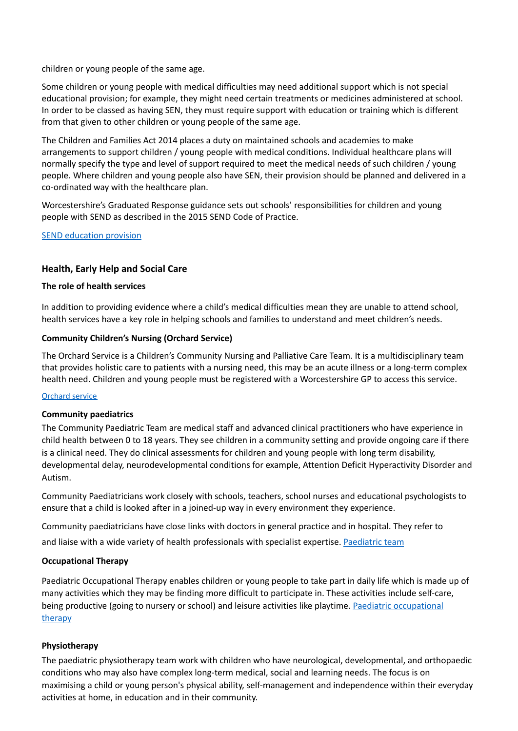children or young people of the same age.

Some children or young people with medical difficulties may need additional support which is not special educational provision; for example, they might need certain treatments or medicines administered at school. In order to be classed as having SEN, they must require support with education or training which is different from that given to other children or young people of the same age.

The Children and Families Act 2014 places a duty on maintained schools and academies to make arrangements to support children / young people with medical conditions. Individual healthcare plans will normally specify the type and level of support required to meet the medical needs of such children / young people. Where children and young people also have SEN, their provision should be planned and delivered in a co-ordinated way with the healthcare plan.

Worcestershire's Graduated Response guidance sets out schools' responsibilities for children and young people with SEND as described in the 2015 SEND Code of Practice.

SEND [education](http://www.worcestershire.gov.uk/info/20613/send_school_provision_and_education_health_care_plans_ehcp/1798/send_education_provision/3) provision

#### **Health, Early Help and Social Care**

#### **The role of health services**

In addition to providing evidence where a child's medical difficulties mean they are unable to attend school, health services have a key role in helping schools and families to understand and meet children's needs.

#### **Community Children's Nursing (Orchard Service)**

The Orchard Service is a Children's Community Nursing and Palliative Care Team. It is a multidisciplinary team that provides holistic care to patients with a nursing need, this may be an acute illness or a long-term complex health need. Children and young people must be registered with a Worcestershire GP to access this service.

#### [Orchard](https://www.hacw.nhs.uk/services/service/orchard-service-south-10/) service

#### **Community paediatrics**

The Community Paediatric Team are medical staff and advanced clinical practitioners who have experience in child health between 0 to 18 years. They see children in a community setting and provide ongoing care if there is a clinical need. They do clinical assessments for children and young people with long term disability, developmental delay, neurodevelopmental conditions for example, Attention Deficit Hyperactivity Disorder and Autism.

Community Paediatricians work closely with schools, teachers, school nurses and educational psychologists to ensure that a child is looked after in a joined-up way in every environment they experience.

Community paediatricians have close links with doctors in general practice and in hospital. They refer to and liaise with a wide variety of health professionals with specialist expertise. [Paediatric](https://www.hacw.nhs.uk/services/service/community-paediatric-team-18/) team

#### **Occupational Therapy**

Paediatric Occupational Therapy enables children or young people to take part in daily life which is made up of many activities which they may be finding more difficult to participate in. These activities include self-care, being productive (going to nursery or school) and leisure activities like playtime. Paediatric [occupational](https://www.hacw.nhs.uk/services/service/occupational-therapy-paediatric-89/) [therapy](https://www.hacw.nhs.uk/services/service/occupational-therapy-paediatric-89/)

#### **Physiotherapy**

The paediatric physiotherapy team work with children who have neurological, developmental, and orthopaedic conditions who may also have complex long-term medical, social and learning needs. The focus is on maximising a child or young person's physical ability, self-management and independence within their everyday activities at home, in education and in their community.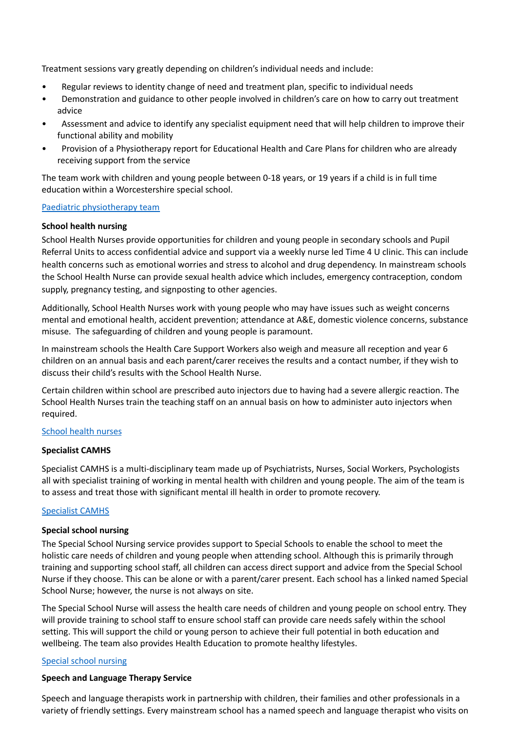Treatment sessions vary greatly depending on children's individual needs and include:

- Regular reviews to identity change of need and treatment plan, specific to individual needs
- Demonstration and guidance to other people involved in children's care on how to carry out treatment advice
- Assessment and advice to identify any specialist equipment need that will help children to improve their functional ability and mobility
- Provision of a Physiotherapy report for Educational Health and Care Plans for children who are already receiving support from the service

The team work with children and young people between 0-18 years, or 19 years if a child is in full time education within a Worcestershire special school.

#### Paediatric [physiotherapy](https://www.hacw.nhs.uk/services/service/physiotherapy-paediatric-88/) team

#### **School health nursing**

School Health Nurses provide opportunities for children and young people in secondary schools and Pupil Referral Units to access confidential advice and support via a weekly nurse led Time 4 U clinic. This can include health concerns such as emotional worries and stress to alcohol and drug dependency. In mainstream schools the School Health Nurse can provide sexual health advice which includes, emergency contraception, condom supply, pregnancy testing, and signposting to other agencies.

Additionally, School Health Nurses work with young people who may have issues such as weight concerns mental and emotional health, accident prevention; attendance at A&E, domestic violence concerns, substance misuse. The safeguarding of children and young people is paramount.

In mainstream schools the Health Care Support Workers also weigh and measure all reception and year 6 children on an annual basis and each parent/carer receives the results and a contact number, if they wish to discuss their child's results with the School Health Nurse.

Certain children within school are prescribed auto injectors due to having had a severe allergic reaction. The School Health Nurses train the teaching staff on an annual basis on how to administer auto injectors when required.

# [School](https://www.hacw.nhs.uk/services/service/school-health-nursing-15/) health nurses

#### **Specialist CAMHS**

Specialist CAMHS is a multi-disciplinary team made up of Psychiatrists, Nurses, Social Workers, Psychologists all with specialist training of working in mental health with children and young people. The aim of the team is to assess and treat those with significant mental ill health in order to promote recovery.

#### [Specialist](https://www.hacw.nhs.uk/specialist-camhs/) CAMHS

#### **Special school nursing**

The Special School Nursing service provides support to Special Schools to enable the school to meet the holistic care needs of children and young people when attending school. Although this is primarily through training and supporting school staff, all children can access direct support and advice from the Special School Nurse if they choose. This can be alone or with a parent/carer present. Each school has a linked named Special School Nurse; however, the nurse is not always on site.

The Special School Nurse will assess the health care needs of children and young people on school entry. They will provide training to school staff to ensure school staff can provide care needs safely within the school setting. This will support the child or young person to achieve their full potential in both education and wellbeing. The team also provides Health Education to promote healthy lifestyles.

#### Special school [nursing](https://www.hacw.nhs.uk/services/service/special-school-nursing-120/)

# **Speech and Language Therapy Service**

Speech and language therapists work in partnership with children, their families and other professionals in a variety of friendly settings. Every mainstream school has a named speech and language therapist who visits on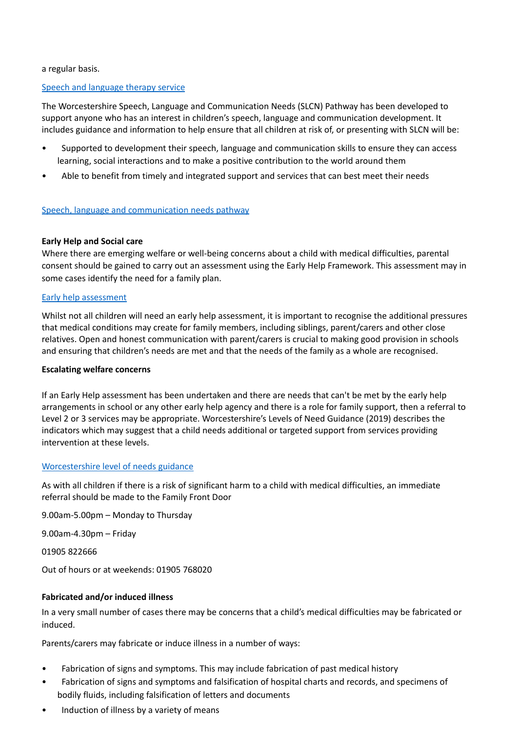a regular basis.

#### Speech and [language](https://www.hacw.nhs.uk/services/service/speech-and-language-therapy-service-childrens-110/) therapy service

The Worcestershire Speech, Language and Communication Needs (SLCN) Pathway has been developed to support anyone who has an interest in children's speech, language and communication development. It includes guidance and information to help ensure that all children at risk of, or presenting with SLCN will be:

- Supported to development their speech, language and communication skills to ensure they can access learning, social interactions and to make a positive contribution to the world around them
- Able to benefit from timely and integrated support and services that can best meet their needs

#### Speech, language and [communication](https://www.hacw.nhs.uk/slcn-pathway) needs pathway

#### **Early Help and Social care**

Where there are emerging welfare or well-being concerns about a child with medical difficulties, parental consent should be gained to carry out an assessment using the Early Help Framework. This assessment may in some cases identify the need for a family plan.

#### Early help [assessment](http://www.worcestershire.gov.uk/eha)

Whilst not all children will need an early help assessment, it is important to recognise the additional pressures that medical conditions may create for family members, including siblings, parent/carers and other close relatives. Open and honest communication with parent/carers is crucial to making good provision in schools and ensuring that children's needs are met and that the needs of the family as a whole are recognised.

#### **Escalating welfare concerns**

If an Early Help assessment has been undertaken and there are needs that can't be met by the early help arrangements in school or any other early help agency and there is a role for family support, then a referral to Level 2 or 3 services may be appropriate. Worcestershire's Levels of Need Guidance (2019) describes the indicators which may suggest that a child needs additional or targeted support from services providing intervention at these levels.

#### [Worcestershire](http://www.worcestershire.gov.uk/downloads/file/7962/levels_of_need_guidance_formerly_threshold_guidance) level of needs guidance

As with all children if there is a risk of significant harm to a child with medical difficulties, an immediate referral should be made to the Family Front Door

9.00am-5.00pm – Monday to Thursday

9.00am-4.30pm – Friday

01905 822666

Out of hours or at weekends: 01905 768020

# **Fabricated and/or induced illness**

In a very small number of cases there may be concerns that a child's medical difficulties may be fabricated or induced.

Parents/carers may fabricate or induce illness in a number of ways:

- Fabrication of signs and symptoms. This may include fabrication of past medical history
- Fabrication of signs and symptoms and falsification of hospital charts and records, and specimens of bodily fluids, including falsification of letters and documents
- Induction of illness by a variety of means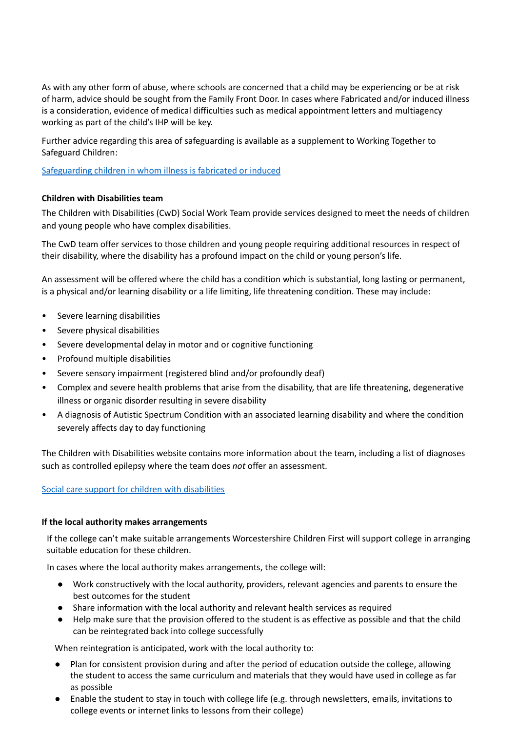As with any other form of abuse, where schools are concerned that a child may be experiencing or be at risk of harm, advice should be sought from the Family Front Door. In cases where Fabricated and/or induced illness is a consideration, evidence of medical difficulties such as medical appointment letters and multiagency working as part of the child's IHP will be key.

Further advice regarding this area of safeguarding is available as a supplement to Working Together to Safeguard Children:

[Safeguarding](https://assets.publishing.service.gov.uk/government/uploads/system/uploads/attachment_data/file/277314/Safeguarding_Children_in_whom_illness_is_fabricated_or_induced.pdf) children in whom illness is fabricated or induced

#### **Children with Disabilities team**

The Children with Disabilities (CwD) Social Work Team provide services designed to meet the needs of children and young people who have complex disabilities.

The CwD team offer services to those children and young people requiring additional resources in respect of their disability, where the disability has a profound impact on the child or young person's life.

An assessment will be offered where the child has a condition which is substantial, long lasting or permanent, is a physical and/or learning disability or a life limiting, life threatening condition. These may include:

- Severe learning disabilities
- Severe physical disabilities
- Severe developmental delay in motor and or cognitive functioning
- Profound multiple disabilities
- Severe sensory impairment (registered blind and/or profoundly deaf)
- Complex and severe health problems that arise from the disability, that are life threatening, degenerative illness or organic disorder resulting in severe disability
- A diagnosis of Autistic Spectrum Condition with an associated learning disability and where the condition severely affects day to day functioning

The Children with Disabilities website contains more information about the team, including a list of diagnoses such as controlled epilepsy where the team does *not* offer an assessment.

#### Social care support for children with [disabilities](http://www.worcestershire.gov.uk/info/20502/disabilities/1653/social_care_support_for_children_with_disabilities)

#### **If the local authority makes arrangements**

If the college can't make suitable arrangements Worcestershire Children First will support college in arranging suitable education for these children.

In cases where the local authority makes arrangements, the college will:

- Work constructively with the local authority, providers, relevant agencies and parents to ensure the best outcomes for the student
- Share information with the local authority and relevant health services as required
- Help make sure that the provision offered to the student is as effective as possible and that the child can be reintegrated back into college successfully

When reintegration is anticipated, work with the local authority to:

- Plan for consistent provision during and after the period of education outside the college, allowing the student to access the same curriculum and materials that they would have used in college as far as possible
- Enable the student to stay in touch with college life (e.g. through newsletters, emails, invitations to college events or internet links to lessons from their college)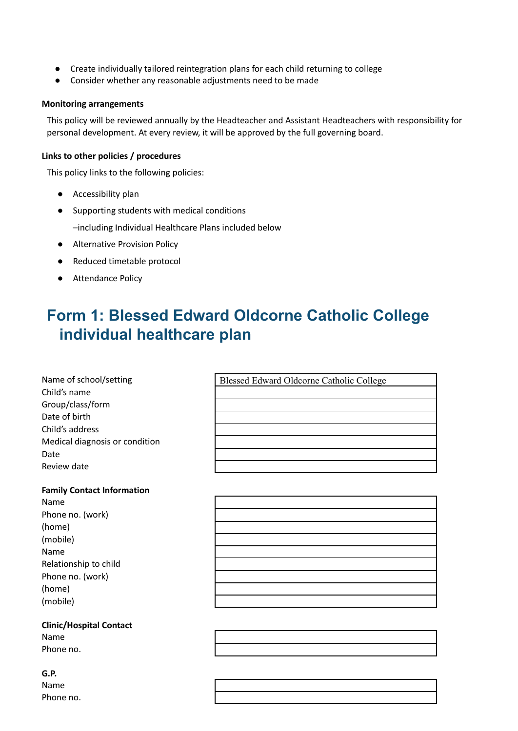- Create individually tailored reintegration plans for each child returning to college
- Consider whether any reasonable adjustments need to be made

#### **Monitoring arrangements**

This policy will be reviewed annually by the Headteacher and Assistant Headteachers with responsibility for personal development. At every review, it will be approved by the full governing board.

#### **Links to other policies / procedures**

This policy links to the following policies:

- Accessibility plan
- Supporting students with medical conditions

–including Individual Healthcare Plans included below

- Alternative Provision Policy
- Reduced timetable protocol
- Attendance Policy

# **Form 1: Blessed Edward Oldcorne Catholic College individual healthcare plan**

Blessed Edward Oldcorne Catholic College

| Name of school/setting         |
|--------------------------------|
| Child's name                   |
| Group/class/form               |
| Date of birth                  |
| Child's address                |
| Medical diagnosis or condition |
| Date                           |
| Review date                    |

#### **Family Contact Information**

Name Phone no. (work) (home) (mobile) Name Relationship to child Phone no. (work) (home) (mobile)

#### **Clinic/Hospital Contact** Name Phone no.

# **G.P.**

Name Phone no.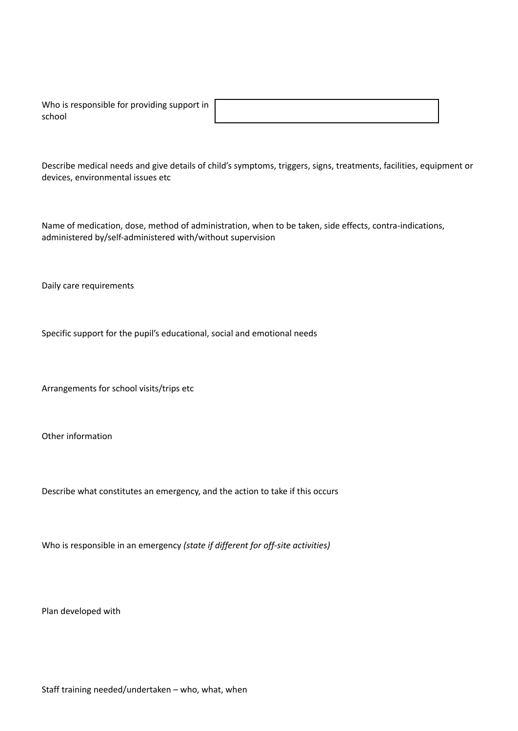| Who is responsible for providing support in ' |  |
|-----------------------------------------------|--|
| school                                        |  |

Describe medical needs and give details of child's symptoms, triggers, signs, treatments, facilities, equipment or devices, environmental issues etc

Name of medication, dose, method of administration, when to be taken, side effects, contra-indications, administered by/self-administered with/without supervision

Daily care requirements

Specific support for the pupil's educational, social and emotional needs

Arrangements for school visits/trips etc

Other information

Describe what constitutes an emergency, and the action to take if this occurs

Who is responsible in an emergency *(state if different for off-site activities)*

Plan developed with